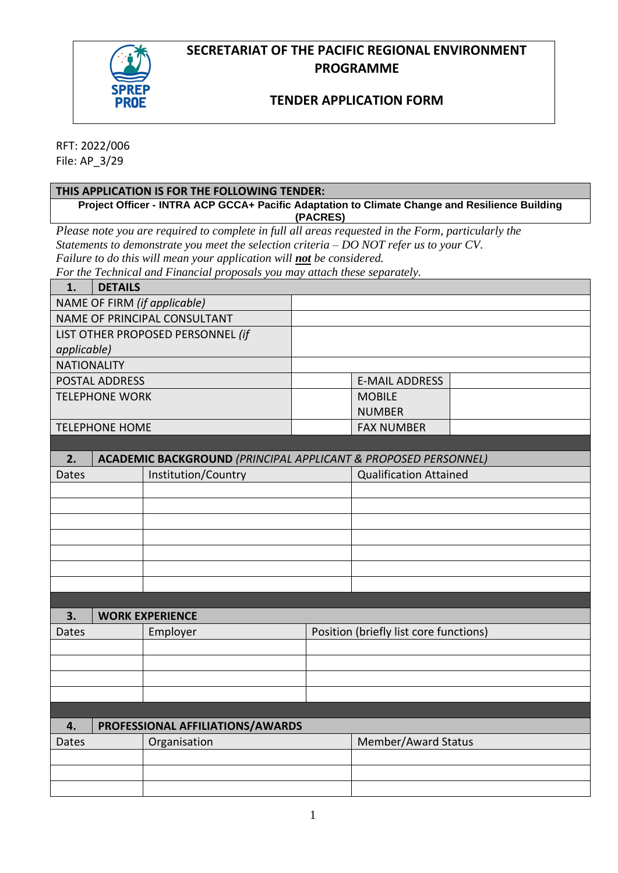## **SECRETARIAT OF THE PACIFIC REGIONAL ENVIRONMENT PROGRAMME**



# **TENDER APPLICATION FORM**

RFT: 2022/006 File: AP\_3/29

| THIS APPLICATION IS FOR THE FOLLOWING TENDER:                                                              |                                                                           |                                        |                               |  |  |  |
|------------------------------------------------------------------------------------------------------------|---------------------------------------------------------------------------|----------------------------------------|-------------------------------|--|--|--|
| Project Officer - INTRA ACP GCCA+ Pacific Adaptation to Climate Change and Resilience Building<br>(PACRES) |                                                                           |                                        |                               |  |  |  |
| Please note you are required to complete in full all areas requested in the Form, particularly the         |                                                                           |                                        |                               |  |  |  |
| Statements to demonstrate you meet the selection criteria $-$ DO NOT refer us to your CV.                  |                                                                           |                                        |                               |  |  |  |
| Failure to do this will mean your application will not be considered.                                      |                                                                           |                                        |                               |  |  |  |
| For the Technical and Financial proposals you may attach these separately.                                 |                                                                           |                                        |                               |  |  |  |
| <b>DETAILS</b><br>1.                                                                                       |                                                                           |                                        |                               |  |  |  |
| NAME OF FIRM (if applicable)                                                                               |                                                                           |                                        |                               |  |  |  |
|                                                                                                            | <b>NAME OF PRINCIPAL CONSULTANT</b>                                       |                                        |                               |  |  |  |
|                                                                                                            | LIST OTHER PROPOSED PERSONNEL (if                                         |                                        |                               |  |  |  |
| applicable)                                                                                                |                                                                           |                                        |                               |  |  |  |
| <b>NATIONALITY</b>                                                                                         |                                                                           |                                        |                               |  |  |  |
| <b>POSTAL ADDRESS</b>                                                                                      |                                                                           |                                        | <b>E-MAIL ADDRESS</b>         |  |  |  |
| <b>TELEPHONE WORK</b>                                                                                      |                                                                           |                                        | <b>MOBILE</b>                 |  |  |  |
|                                                                                                            |                                                                           |                                        | <b>NUMBER</b>                 |  |  |  |
| <b>TELEPHONE HOME</b>                                                                                      |                                                                           |                                        | <b>FAX NUMBER</b>             |  |  |  |
|                                                                                                            |                                                                           |                                        |                               |  |  |  |
| 2.                                                                                                         | <b>ACADEMIC BACKGROUND (PRINCIPAL APPLICANT &amp; PROPOSED PERSONNEL)</b> |                                        |                               |  |  |  |
| Dates                                                                                                      | Institution/Country                                                       |                                        | <b>Qualification Attained</b> |  |  |  |
|                                                                                                            |                                                                           |                                        |                               |  |  |  |
|                                                                                                            |                                                                           |                                        |                               |  |  |  |
|                                                                                                            |                                                                           |                                        |                               |  |  |  |
|                                                                                                            |                                                                           |                                        |                               |  |  |  |
|                                                                                                            |                                                                           |                                        |                               |  |  |  |
|                                                                                                            |                                                                           |                                        |                               |  |  |  |
|                                                                                                            |                                                                           |                                        |                               |  |  |  |
|                                                                                                            |                                                                           |                                        |                               |  |  |  |
| 3.                                                                                                         | <b>WORK EXPERIENCE</b>                                                    |                                        |                               |  |  |  |
| <b>Dates</b>                                                                                               | Employer                                                                  | Position (briefly list core functions) |                               |  |  |  |
|                                                                                                            |                                                                           |                                        |                               |  |  |  |
|                                                                                                            |                                                                           |                                        |                               |  |  |  |
|                                                                                                            |                                                                           |                                        |                               |  |  |  |
|                                                                                                            |                                                                           |                                        |                               |  |  |  |
|                                                                                                            |                                                                           |                                        |                               |  |  |  |
| PROFESSIONAL AFFILIATIONS/AWARDS<br>4.                                                                     |                                                                           |                                        |                               |  |  |  |
| Dates                                                                                                      | Organisation                                                              |                                        | Member/Award Status           |  |  |  |
|                                                                                                            |                                                                           |                                        |                               |  |  |  |
|                                                                                                            |                                                                           |                                        |                               |  |  |  |
|                                                                                                            |                                                                           |                                        |                               |  |  |  |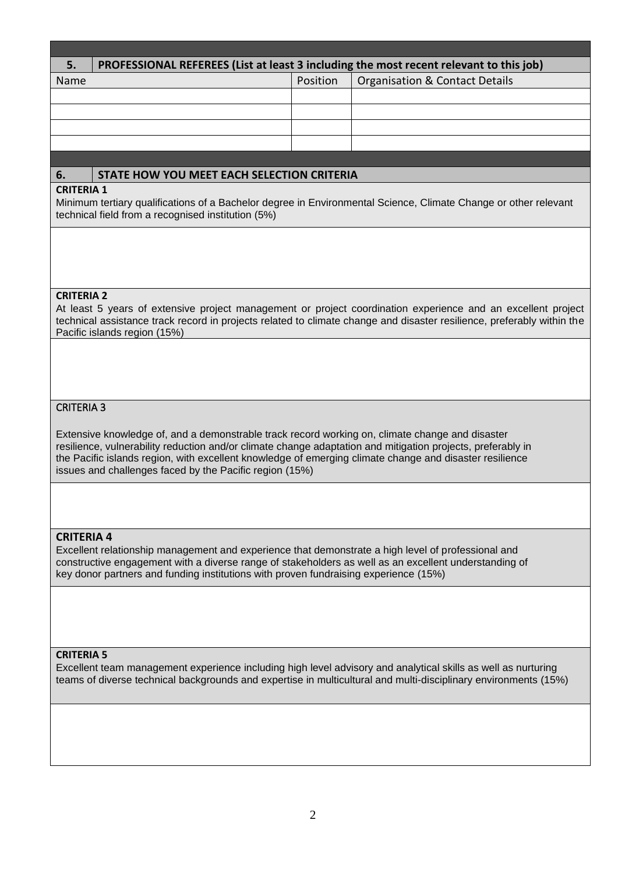| 5.                                                                                                                                                                                                                                                                                                                                                                                   | PROFESSIONAL REFEREES (List at least 3 including the most recent relevant to this job) |          |                                           |  |
|--------------------------------------------------------------------------------------------------------------------------------------------------------------------------------------------------------------------------------------------------------------------------------------------------------------------------------------------------------------------------------------|----------------------------------------------------------------------------------------|----------|-------------------------------------------|--|
| Name                                                                                                                                                                                                                                                                                                                                                                                 |                                                                                        | Position | <b>Organisation &amp; Contact Details</b> |  |
|                                                                                                                                                                                                                                                                                                                                                                                      |                                                                                        |          |                                           |  |
|                                                                                                                                                                                                                                                                                                                                                                                      |                                                                                        |          |                                           |  |
|                                                                                                                                                                                                                                                                                                                                                                                      |                                                                                        |          |                                           |  |
|                                                                                                                                                                                                                                                                                                                                                                                      |                                                                                        |          |                                           |  |
|                                                                                                                                                                                                                                                                                                                                                                                      |                                                                                        |          |                                           |  |
| 6.                                                                                                                                                                                                                                                                                                                                                                                   | STATE HOW YOU MEET EACH SELECTION CRITERIA                                             |          |                                           |  |
| <b>CRITERIA 1</b><br>Minimum tertiary qualifications of a Bachelor degree in Environmental Science, Climate Change or other relevant<br>technical field from a recognised institution (5%)                                                                                                                                                                                           |                                                                                        |          |                                           |  |
|                                                                                                                                                                                                                                                                                                                                                                                      |                                                                                        |          |                                           |  |
| <b>CRITERIA 2</b><br>At least 5 years of extensive project management or project coordination experience and an excellent project<br>technical assistance track record in projects related to climate change and disaster resilience, preferably within the<br>Pacific islands region (15%)                                                                                          |                                                                                        |          |                                           |  |
|                                                                                                                                                                                                                                                                                                                                                                                      |                                                                                        |          |                                           |  |
| <b>CRITERIA 3</b>                                                                                                                                                                                                                                                                                                                                                                    |                                                                                        |          |                                           |  |
| Extensive knowledge of, and a demonstrable track record working on, climate change and disaster<br>resilience, vulnerability reduction and/or climate change adaptation and mitigation projects, preferably in<br>the Pacific islands region, with excellent knowledge of emerging climate change and disaster resilience<br>issues and challenges faced by the Pacific region (15%) |                                                                                        |          |                                           |  |
|                                                                                                                                                                                                                                                                                                                                                                                      |                                                                                        |          |                                           |  |
| <b>CRITERIA 4</b><br>Excellent relationship management and experience that demonstrate a high level of professional and<br>constructive engagement with a diverse range of stakeholders as well as an excellent understanding of<br>key donor partners and funding institutions with proven fundraising experience (15%)                                                             |                                                                                        |          |                                           |  |
|                                                                                                                                                                                                                                                                                                                                                                                      |                                                                                        |          |                                           |  |
| <b>CRITERIA 5</b><br>Excellent team management experience including high level advisory and analytical skills as well as nurturing<br>teams of diverse technical backgrounds and expertise in multicultural and multi-disciplinary environments (15%)                                                                                                                                |                                                                                        |          |                                           |  |
|                                                                                                                                                                                                                                                                                                                                                                                      |                                                                                        |          |                                           |  |
|                                                                                                                                                                                                                                                                                                                                                                                      |                                                                                        |          |                                           |  |

 $\overline{\phantom{a}}$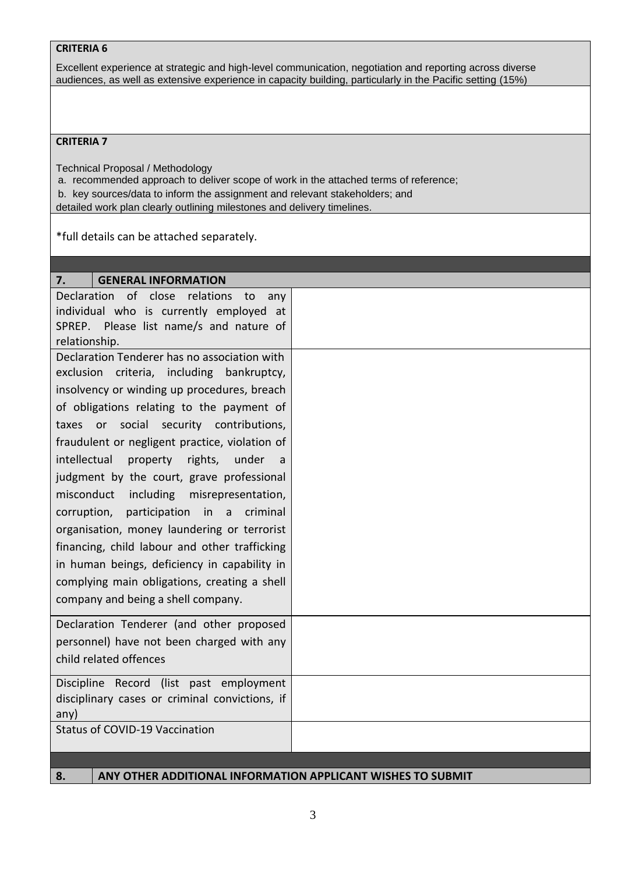#### **CRITERIA 6**

Excellent experience at strategic and high-level communication, negotiation and reporting across diverse audiences, as well as extensive experience in capacity building, particularly in the Pacific setting (15%)

#### **CRITERIA 7**

Technical Proposal / Methodology

- a. recommended approach to deliver scope of work in the attached terms of reference;
- b. key sources/data to inform the assignment and relevant stakeholders; and
- detailed work plan clearly outlining milestones and delivery timelines.

\*full details can be attached separately.

| <b>GENERAL INFORMATION</b><br>7.                                  |  |
|-------------------------------------------------------------------|--|
| of<br>Declaration<br>close<br>relations<br>to<br>any              |  |
| individual who is currently employed at                           |  |
| SPREP. Please list name/s and nature of                           |  |
| relationship.                                                     |  |
| Declaration Tenderer has no association with                      |  |
| exclusion criteria, including<br>bankruptcy,                      |  |
| insolvency or winding up procedures, breach                       |  |
| of obligations relating to the payment of                         |  |
| taxes or social security contributions,                           |  |
| fraudulent or negligent practice, violation of                    |  |
| intellectual<br>property<br>rights,<br>under<br>a                 |  |
| judgment by the court, grave professional                         |  |
| misconduct<br>including misrepresentation,                        |  |
| corruption, participation in a criminal                           |  |
| organisation, money laundering or terrorist                       |  |
| financing, child labour and other trafficking                     |  |
| in human beings, deficiency in capability in                      |  |
| complying main obligations, creating a shell                      |  |
| company and being a shell company.                                |  |
|                                                                   |  |
| Declaration Tenderer (and other proposed                          |  |
| personnel) have not been charged with any                         |  |
| child related offences                                            |  |
| Discipline Record (list past employment                           |  |
| disciplinary cases or criminal convictions, if                    |  |
| any)                                                              |  |
| <b>Status of COVID-19 Vaccination</b>                             |  |
|                                                                   |  |
|                                                                   |  |
| ANY OTHER ADDITIONAL INFORMATION APPLICANT WISHES TO SUBMIT<br>8. |  |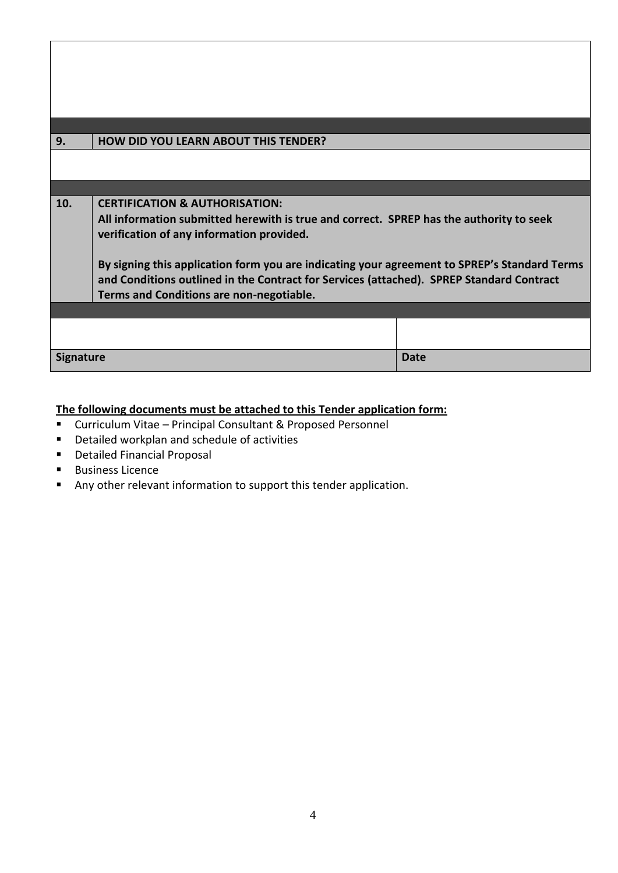| 9.               | <b>HOW DID YOU LEARN ABOUT THIS TENDER?</b>                                                                                                                                                                                                                                                                                                                                                                               |      |  |  |
|------------------|---------------------------------------------------------------------------------------------------------------------------------------------------------------------------------------------------------------------------------------------------------------------------------------------------------------------------------------------------------------------------------------------------------------------------|------|--|--|
|                  |                                                                                                                                                                                                                                                                                                                                                                                                                           |      |  |  |
|                  |                                                                                                                                                                                                                                                                                                                                                                                                                           |      |  |  |
| 10.              | <b>CERTIFICATION &amp; AUTHORISATION:</b><br>All information submitted herewith is true and correct. SPREP has the authority to seek<br>verification of any information provided.<br>By signing this application form you are indicating your agreement to SPREP's Standard Terms<br>and Conditions outlined in the Contract for Services (attached). SPREP Standard Contract<br>Terms and Conditions are non-negotiable. |      |  |  |
|                  |                                                                                                                                                                                                                                                                                                                                                                                                                           |      |  |  |
|                  |                                                                                                                                                                                                                                                                                                                                                                                                                           |      |  |  |
| <b>Signature</b> |                                                                                                                                                                                                                                                                                                                                                                                                                           | Date |  |  |

### **The following documents must be attached to this Tender application form:**

- Curriculum Vitae Principal Consultant & Proposed Personnel
- Detailed workplan and schedule of activities
- Detailed Financial Proposal
- Business Licence
- Any other relevant information to support this tender application.